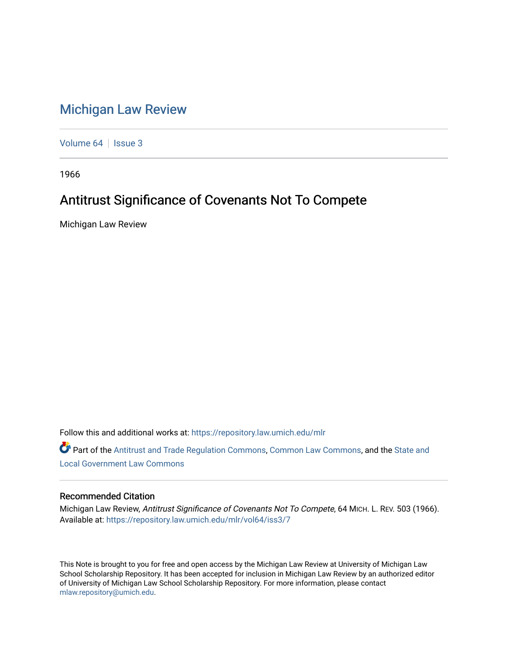## [Michigan Law Review](https://repository.law.umich.edu/mlr)

[Volume 64](https://repository.law.umich.edu/mlr/vol64) | [Issue 3](https://repository.law.umich.edu/mlr/vol64/iss3)

1966

# Antitrust Significance of Covenants Not To Compete

Michigan Law Review

Follow this and additional works at: [https://repository.law.umich.edu/mlr](https://repository.law.umich.edu/mlr?utm_source=repository.law.umich.edu%2Fmlr%2Fvol64%2Fiss3%2F7&utm_medium=PDF&utm_campaign=PDFCoverPages) 

Part of the [Antitrust and Trade Regulation Commons,](http://network.bepress.com/hgg/discipline/911?utm_source=repository.law.umich.edu%2Fmlr%2Fvol64%2Fiss3%2F7&utm_medium=PDF&utm_campaign=PDFCoverPages) [Common Law Commons,](http://network.bepress.com/hgg/discipline/1120?utm_source=repository.law.umich.edu%2Fmlr%2Fvol64%2Fiss3%2F7&utm_medium=PDF&utm_campaign=PDFCoverPages) and the State and [Local Government Law Commons](http://network.bepress.com/hgg/discipline/879?utm_source=repository.law.umich.edu%2Fmlr%2Fvol64%2Fiss3%2F7&utm_medium=PDF&utm_campaign=PDFCoverPages)

#### Recommended Citation

Michigan Law Review, Antitrust Significance of Covenants Not To Compete, 64 MICH. L. REV. 503 (1966). Available at: [https://repository.law.umich.edu/mlr/vol64/iss3/7](https://repository.law.umich.edu/mlr/vol64/iss3/7?utm_source=repository.law.umich.edu%2Fmlr%2Fvol64%2Fiss3%2F7&utm_medium=PDF&utm_campaign=PDFCoverPages)

This Note is brought to you for free and open access by the Michigan Law Review at University of Michigan Law School Scholarship Repository. It has been accepted for inclusion in Michigan Law Review by an authorized editor of University of Michigan Law School Scholarship Repository. For more information, please contact [mlaw.repository@umich.edu.](mailto:mlaw.repository@umich.edu)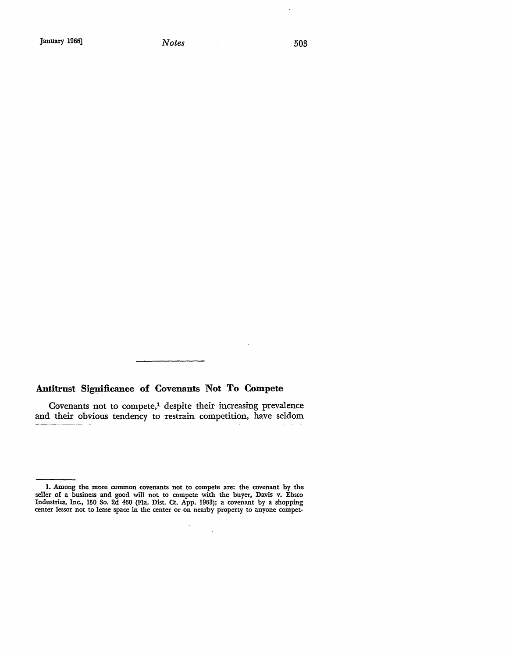l,

### Antitrust Significance of Covenants Not To Compete

Covenants not to compete,<sup>1</sup> despite their increasing prevalence and their obvious tendency to restrain competition, have seldom

 $\alpha$ 

 $\sim$ 

**<sup>1.</sup> Among the more** common covenants **not to** compete are: the **covenant by the**  seller of a business and good will not to compete with the buyer, Davis v. Ebsco Industries, Inc., 150 So. 2d 460 (Fla. Dist. Ct. App. 196!1); a covenant by a shopping center lessor not to lease space in the center or on nearby property to anyone compet-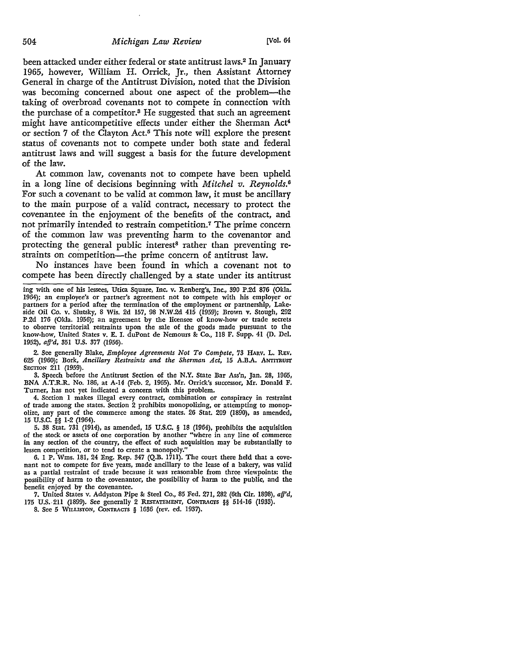been attacked under either federal or state antitrust laws.2 In January 1965, however, William H. Orrick, Jr., then Assistant Attorney General in charge of the Antitrust Division, noted that the Division was becoming concerned about one aspect of the problem-the taking of overbroad covenants not to compete in connection with the purchase of a competitor.3 He suggested that such an agreement might have anticompetitive effects under either the Sherman Act4 or section 7 of the Clayton Act.5 This note will explore the present status of covenants not to compete under both state and federal antitrust laws and will suggest a basis for the future development of the law.

At common law, covenants not to compete have been upheld in a long line of decisions beginning with *Mitchel v. Reynolds.*<sup>0</sup> For such a covenant to be valid at common law, it must be ancillary to the main purpose of a valid contract, necessary to protect the covenantee in the enjoyment of the benefits of the contract, and not primarily intended to restrain competition.7 The prime concern of the common law was preventing harm to the covenantor and protecting the general public interest<sup>8</sup> rather than preventing restraints on competition-the prime concern of antitrust law.

No instances have been found in which a covenant not to compete has been directly challenged by a state under its antitrust

ing with one of his lessees, Utica Square, Inc. v. Renberg's, Inc., 390 P.2d 876 (Okla, 1964); an employee's or partner's agreement not to compete with his employer or partners for a period after the termination of the employment or partnership, Lake• side Oil Co. v. Slutsky, 8 Wis. 2d 157, 98 N.W.2d 415 (1959); Brown v. Stough, 292 P.2d 176 (Okla. 1956); an agreement by the licensee of know-how or trade secrets to observe territorial restraints upon the sale of the goods made pursuant to the know-how, United States v. E. I. duPont de Nemours &: Co., 118 F. Supp. 41 (D. Del. 1952), *afj'd,* 351 U.S. 377 (1956).

2. See generally Blake, *Employee Agreements Not To Compete,* 73 HARV, L. REV. 625 (1960); Bork, *Ancillary Restraints and the Sherman Act,* 15 A.B.A. ANTITRUST SECTION 211 (1959).

3. Speech before the Antitrust Section of the N.Y. State Bar Ass'n, Jan. 28, 1965, BNA A.T.R.R. No. 186, at A-14 (Feb. 2, 1965). Mr. Orrick's successor, Mr. Donald F. Turner, has not yet indicated a concern with this problem.

4. Section 1 makes illegal every contract, combination or conspiracy in restraint of trade among the states. Section 2 prohibits monopolizing, or attempting to monop• olize, any part of the commerce among the states. 26 Stat. 209 (1890), as amended, 15 u.s.c. §§ 1-2 (1964).

5. 38 Stat. 731 (1914), as amended, 15 U.S.C. § 18 (1964), prohibits the acquisition of the stock or assets of one corporation by another "where in any line of commerce in any section of the country, the effect of such acquisition may be substantially to lessen competition, or to tend to create a monopoly.''

6. 1 P. Wms. 181, 24 Eng. Rep. 347 (Q.B. 1711). The court there held that a covenant not to compete for five years, made ancillary to the lease of a bakery, was valid as a partial restraint of trade because it was reasonable from three viewpoints: the possibility of harm to the covenanter, the possibility of harm to the public, and the benefit enjoyed by the covenantee.

7. United States v. Addyston Pipe &: Steel Co., 85 Fed. 271, 282 (6th Cir. 1898), *aff'd,*  175 U.S.-211 (1899). See generally 2 REsTATEMENT, CONTRACTS §§ 514-16 (1933).

8. See 5 WILLISTON, CONTRACTS § 1636 (rev. ed. 1937).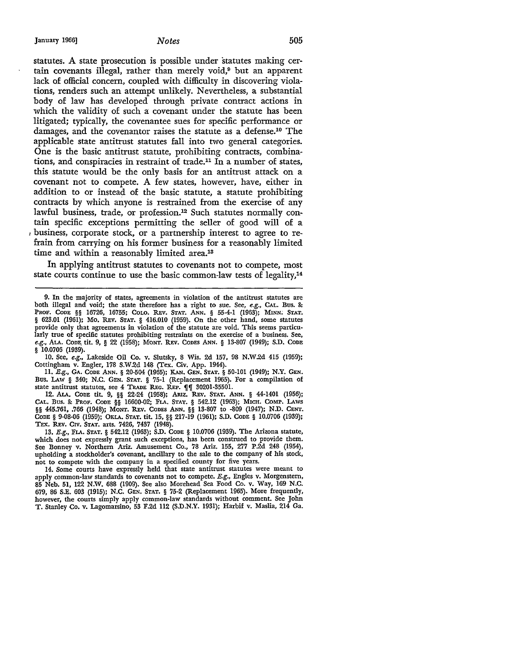January 1966] *Notes* 505

statutes. A state prosecution is possible under statutes making certain covenants illegal, rather than merely void,<sup>9</sup> but an apparent lack of official concern, coupled with difficulty in discovering violations, renders such an attempt unlikely. Nevertheless, a substantial body of law has developed through private contract actions in which the validity of such a covenant under the statute has been litigated; typically, the covenantee sues for specific performance or damages, and the covenantor raises the statute as a defense.10 The applicable state antitrust statutes fall into two general categories. One is the basic antitrust statute, prohibiting contracts, combinations, and conspiracies in restraint of trade.11 In a number of states, this statute would be the only basis for an antitrust attack on a covenant not to compete. A few states, however, have, either in addition to or instead of the basic statute, a statute prohibiting contracts by which anyone is restrained from the exercise of any lawful business, trade, or profession.<sup>12</sup> Such statutes normally contain specific exceptions permitting the seller of good will of a  $1$  business, corporate stock, or a partnership interest to agree to refrain from carrying on his former business for a reasonably limited time and within a reasonably limited area.<sup>13</sup>

In applying antitrust statutes to covenants not to compete, most state courts continue to use the basic common-law tests of legality,<sup>14</sup>

10. See, *e.g.,* Lakeside Oil Co. v. Slutsky, 8 Wis. 2d 157, 98 N.W.2d 415 (1959); Cottingham v. Engler, 178 S.W.2d 148 (Tex. Civ. App. 1944).

11. E.g., GA. CODE ANN. § 20-504 (1965); KAN. GEN. STAT. § 50-101 (1949); N.Y. GEN. Bus. LAW § 340; N.C. GEN. STAT. § 75-1 (Replacement 1965). For a compilation of state antitrust statutes, see 4 TRADE REG. REP.  $\llbracket \llbracket$  30201-35501.

12. ALA. CODE tit, 9, §§ 22-24 (1958); ARIZ. REv. STAT. ANN. § 44-1401 (1956); CAL. Bus. & PROF. CODE §§ 16600-02; FLA. STAT. § 542.12 (1963); MICH. COMP. LAws §§ 445.761, .766 (1948); MONT. REv. CODES ANN. §§ 13-807 to -809 (1947); N.D. CENT. CODE § 9-08-06 (1959); OKLA. STAT. tit. 15, §§ 217-19 (1961); S.D. CODE § 10.0706 (1939); TEX. REV. CIV. STAT. arts. 7426, 7437 (1948).

13. E.g., FLA. STAT. § 542.12 (1963); S.D. CODE § 10.0706 (1939). The Arizona statute, which does not expressly grant such exceptions, has been construed to provide them. See Bonney v. Northern Ariz. Amusement Co., 78 Ariz. 155, 277 P.2d 248 (1954), upholding a stockholder's covenant, ancillary to the sale to the company of his stock, not to compete with the company in a specified county for five years.

14. Some courts have expressly held that state antitrust statutes were meant to apply common-law standards to covenants not to compete. E.g., Engles v. Morgenstern, 85 Neb. 51, 122 N.W. 688 (1909). See also Morehead Sea Food Co. v. Way, 169 N.C. 679, 86 S.E. 603 (1915); N.C. GEN. STAT. § 75-2 (Replacement 1965). More frequently, however, the courts simply apply common-law standards without comment. See John T. Stanley Co. v. Lagomarsino, 53 F.2d 112 (S.D.N.Y. 1931); Harbif v. Maslia, 214 Ga.

<sup>9.</sup> In the majority of states, agreements in violation of the antitrust statutes are both illegal and void; the state therefore has a right to sue. See, e.g., CAL. Bus. & PROF. CODE §§ 16726, 16755; COLO. REV. STAT. ANN. § 55-4-1 (1963); MINN; STAT. § 623.01 (1961); Mo. REv. STAT. § 416.010 (1959). On the other hand, some statutes provide only that agreements in violation of the statute are void. This seems partirularly true of specific statutes prohibiting restraints on the exercise of a business. See, *e.g., ALA. CODE. tit. 9, § 22 (1958); MONT. REV. CODES ANN. § 13-807 (1949); S.D. CODE* § 10.0705 (1939).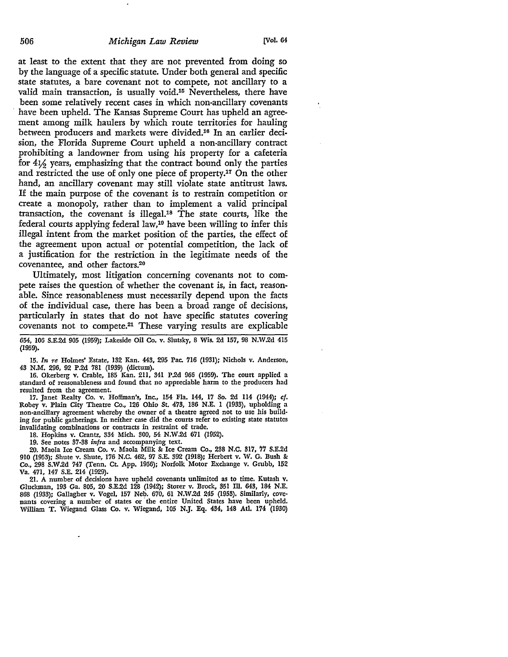at least to the extent that they are not prevented from doing so by the language of a specific statute. Under both general and specific state statutes, a bare covenant not to compete, not ancillary to a valid main transaction, is usually void.15 Nevertheless, there have been some relatively recent cases in which non-ancillary covenants have been upheld. The Kansas Supreme Court has upheld an agreement among milk haulers by which route territories for hauling between producers and markets were divided.16 In an earlier decision, the Florida Supreme Court upheld a non-ancillary contract prohibiting a landowner from using his property for a cafeteria for 4½ years, emphasizing that the contract bound only the parties and restricted the use of only one piece of property.17 On the other hand, an ancillary covenant may still violate state antitrust laws. If the main purpose of the covenant is to restrain competition or create a monopoly, rather than to implement a valid principal transaction, the covenant is illegal.18 The state courts, like the federal courts applying federal law,19 have been willing to infer this illegal intent from the market position of the parties, the effect of the agreement upon actual or potential competition, the lack of a justification for the restriction in the legitimate needs of the covenantee, and other factors.20

Ultimately, most litigation concerning covenants not to compete raises the question of whether the covenant is, in fact, reasonable. Since reasonableness must necessarily depend upon the facts of the individual case, there has been a broad range of decisions, particularly in states that do not have specific statutes covering covenants not to compete.21 These varying results are explicable

654, 106 S.E.2d 905 (1959); Lakeside Oil Co. v. Slutsky, 8 Wis. 2d 157, 98 N.W.2d 415 (1959).

15. *In re* Holmes' Estate, 132 Kan. 443, 295 Pac. 716 (1931); Nichols v. Anderson, 43 N.M. 296, 92 P .2d 781 (1939) {dictum).

16. Okerberg v. Crable, 185 Kan. 211, 341 P.2d 966 (1959). The court applied a standard of reasonableness and found that no appreciable harm to the producers had resulted from the agreement.

17. Janet Realty Co. v. Hoffman's, Inc., 154 Fla. 144, 17 So. 2d 114 (1944); cf. Robey v. Plain City Theatre Co., 126 Ohio St. 473, 186 N.E. 1 (1933), upholding a non-ancillary agreement whereby the owner of a theatre agreed not to use bis building for public gatherings. In neither case did the courts refer to existing state statutes invalidating combinations or contracts in restraint of trade.

18. Hopkins v. Crantz, 334 Mich. 300, 54 N.W .2d 671 (1952).

19. Sec notes 37-38 infra and accompanying text.

20. Maola Ice Cream Co. v. Maola Milk&: Ice Cream Co., 238 N.C. 317, 77 S.E.2d 910 (1953); Shute v. Shute, 176 N.C. 462, 97 S.E. 392 (1918); Herbert v. W. G. Dush &: Co., 298 S.W .2d 747 (Tenn. Ct. App. 1956); Norfolk Motor Exchange v. Grubb, 152 Va. 471, 147 S.E. 214 (1929).

21. A number of decisions have upheld covenants unlimited as to time. Kutash v. Gluckman, 193 Ga. 805, 20 S.E.2d 128 (1942); Storer v. Brock, 351 Ill. 643, 184 N.E. 868 (1933); Gallagher v. Vogel, 157 Neb. 670, 61 N.W.2d 245 (1953). Similarly, covenants covering a number of states or the entire United States have been upheld. William T. Wiegand Glass Co. v. Wiegand, 105 N.J. Eq. 434, 148 Atl. 174 (1930)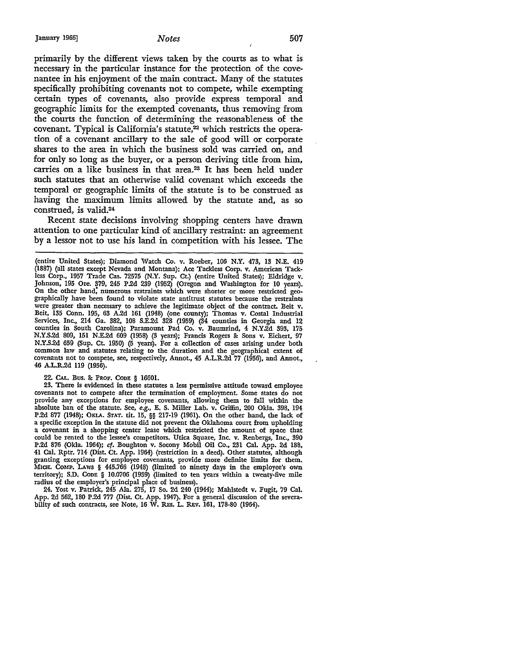primarily by the different views taken by the courts as to what is necessary in the particular instance for the protection of the covenantee in his enjoyment of the main contract. Many of the statutes specifically prohibiting covenants not to compete, while exempting certain types of covenants, also provide express temporal and geographic limits for the exempted covenants, thus removing from the courts the function of determining the reasonableness of the covenant. Typical is California's statute, $^{22}$  which restricts the operation of a covenant ancillary to the sale of good will or corporate shares to the area in which the business sold was carried on, and for only so long as the buyer, or a person deriving title from him, carries on a like business in that area.<sup>23</sup> It has been held under such statutes that an otherwise valid covenant which exceeds the temporal or geographic limits of the statute is to be construed as having the maximum limits allowed by the statute and, as so construed, is valid.24

Recent state decisions involving shopping centers have drawn attention to one particular kind of ancillary restraint: an agreement by a lessor not to use his land in competition with his lessee. The

22. CAL. Bus. & PROF. CODE § 16601.

23. There is evidenced in these statutes a less permissive attitude toward employee covenants not to compete after the termination of employment. Some states do not provide any exceptions for employee covenants, allowing them to fall within the absolute ban of the statute. See, *e.g.,* E. S. Miller Lab. v. Griffin, 200 Okla. 398, 194 P.2d 877 (1948); OKLA. STAT. tit. 15, §§ 217-19 (1961). On the other hand, the lack of a specific exception in the statute did not prevent the Oklahoma court from upholding a covenant in a shopping center lease which restricted the amount of space that could be rented to the lessee's competitors. Utica Square, Inc. v. Renbergs, Inc., 390 P.2d 876 (Okla. 1964); cf. Boughton v. Socony Mobil Oil Co., 231 Cal. App. 2d 188, 41 Cal. Rptr. 714 (Dist. Ct. App. 1964) (restriction in a deed). Other statutes, although granting exceptions for employee covenants, provide more definite limits for them. MICH. COMP. LAws § 445.766 (1948) (limited to ninety days in the employee's own territory); S.D. CODE § 10.0706 (1939) (limited to ten years within a twenty-five mile radius of the employer's principal place of business).

24. Yost v. Patrick, 245 Ala. 275, 17 So. 2d 240 (1944); Mahlstedt v. Fugit, 79 Cal. App. 2d 562, 180 P.2d 777 (Dist. Ct. App. 1947). For a general discussion of the severability of such contracts, see Note, 16 W. REs. L. REv. 161, 178-80 (1964).

<sup>(</sup>entire United States); Diamond Watch Co. v. Roeber, 106 N.Y. 473, 13 N.E. 419 (1887) (all states except Nevada and Montana); Ace Tackless Corp. v. American Tackless Corp., 1957 Trade Cas. 72575 (N.Y. Sup. Ct.) (entire United States); Eldridge v. Johnson, 195 Ore. 379, 245 P.2d 239 (1952) (Oregon and Washington for 10 years). On the other hand; numerous restraints which were shorter or more restricted geographically have been found to violate state antitrust statutes because the restraints were greater than necessary to achieve the legitimate object of the contract. Beit v. Beit, 135 Conn. 195, 63 A.2d 161 (1948) (one county); Thomas v. Costa! Industrial Services, Inc., 214 Ga. 382, 108 S.E.2d 328 (1959) (34 counties in Georgia and 12 counties in South Carolina); Paramount Pad Co. v. Baumrind, 4 N.Y.2d 393, 175 N.Y.S.2d 809, 151 N.E.2d 609 (1958) (3 years); Francis Rogers & Sons v. Eichert, 97 N.Y.S.2d 659 (Sup. Ct. 1950) (5 years). For a collection of cases arising under both common law and statutes relating to the duration and the geographical extent of covenants not to compete, see, respectively, Annot., 45 A.L.R.2d 77 (1956), and Annot., 46 A.L.R.2d 119 (1956).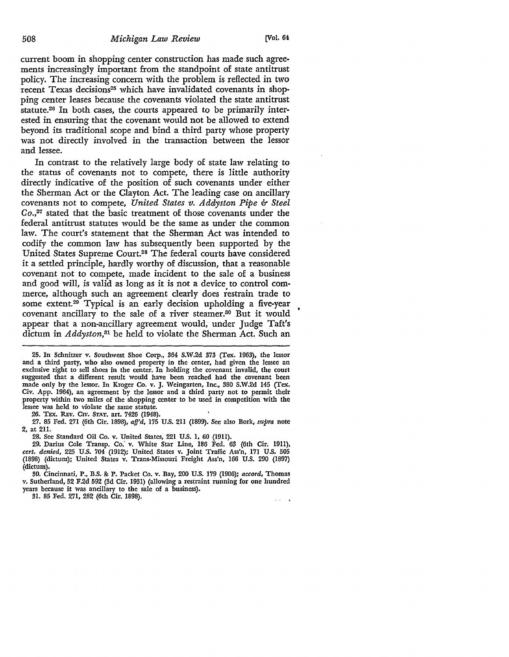current boom in shopping center construction has made such agreements increasingly important from the standpoint of state antitrust policy. The increasing concern with the problem is reflected in two recent Texas decisions<sup>25</sup> which have invalidated covenants in shopping center leases because the covenants violated the state antitrust statute.26 In both cases, the courts appeared to be primarily interested in ensuring that the covenant would not be allowed to extend beyond its traditional scope and bind a third party whose property was not directly involved in the transaction between the lessor and lessee.

In contrast to the relatively large body of state law relating to the status of covenants not to compete, there is little authority directly indicative of the position of such covenants under either the Sherman Act or the Clayton Act. The leading case on ancillary covenants not to compete, *United States v. Addyston Pipe* &- *Steel*  Co.,27 stated that the basic treatment of those covenants under the federal antitrust statutes would be the same as under the common law. The court's statement that the Sherman Act was intended to codify the common law has subsequently been supported by the United States Supreme Court.28 The federal courts have considered it a settled principle, hardly worthy of discussion, that a reasonable covenant not to compete, made incident to the sale of a business and good will, is valid as long as it is not a device to control commerce, although such an agreement clearly does restrain trade to some extent.<sup>29</sup> Typical is an early decision upholding a five-year covenant ancillary to the sale of a river steamer.30 But it would appear that a non-ancillary agreement would, under Judge Taft's dictum in *Addyston,*31 be held to violate the Sherman Act. Such an

25. In Schnitzer v. Southwest Shoe Corp., 364 S.W.2d 373 (Tex. 1963), the lessor and a third party, who also owned property in the center, had given the lessee an exclusive right to sell shoes in the center. In holding the covenant invalid, the court suggested that a different result would have been reached had the covenant been made only by the lessor. In Kroger Co. v. J. Weingarten, Inc., 380 S.W.2d 145 (Tex, Civ, App. 1964), an agreement by the lessor and a third party not to permit their property within two miles of the shopping center to be used in competition with the lessee was held to violate the same statute.

26. TEX. REv. CIV. STAT. art. 7426 (1948).

27. 85 Fed. 271 (6th Cir. 1898), *afj'd,* 175 U.S. 211 (1899). See also Bork, *supra* note 2, at 211.

28. See Standard Oil Co. v. United States, 221 U.S. 1, 60 (1911).

29. Darius Cole Transp. *co:* v. White Star Line, 186 Fed. 63 (6th Cir. 1911), *cert. denied,* 225 U.S. 704 (1912); United States v. Joint Traffic Ass'n, 171 U.S. 505 (1898) (dictum); United States v. Trans-Missouri Freight Ass'n, 166 U.S. 290 (1897) (dictum).

30. Cincinnati, P., B.S. &: P. Packet Co. v. Bay, 200 U.S. 179 (1906); *accord,* Thomas v. Sutherland, 52 F.2d 592 (3d Cir. 1931) (allowing a restraint running for one hundred years because it was ancillary to the sale of a business).

31. 85 Fed. 271, 282 (6th Cir. 1898).

 $\mathbf{1}$  and  $\mathbf{1}$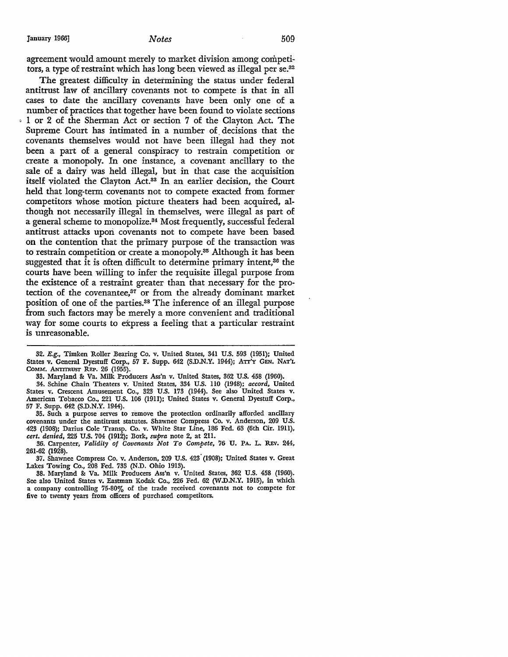agreement would amount merely to market division among competitors, a type of restraint which has long been viewed as illegal per se.<sup>32</sup>

The greatest difficulty in determining the status under federal antitrust law of ancillary covenants not to compete is that in all cases to date the ancillary covenants have been only one of a number of practices that together have been found to violate sections • 1 or 2 of the Sherman Act or section 7 of the Clayton Act. The Supreme Court has intimated in a number of. decisions that the covenants themselves would not have been illegal had they not been a part of a general conspiracy to restrain competition or create a monopoly. In one instance, a covenant ancillary to the sale of a dairy was held illegal, but in that case the acquisition itself violated the Clayton Act.<sup>33</sup> In an earlier decision, the Court held that long-term covenants not to compete exacted from former competitors whose motion picture theaters had been acquired, although not necessarily illegal in themselves, were illegal as part of a general scheme to monopolize.84 Most frequently, successful federal antitrust attacks upon covenants not to compete have been based on the contention that the primary purpose of the transaction was to restrain competition or create a monopoly.85 Although it has been suggested that it is often difficult to determine primary intent,<sup>36</sup> the courts have been willing to infer the requisite illegal purpose from the existence of a restraint greater than that necessary for the protection of the covenantee, $37$  or from the already dominant market position of one of the parties.38 The inference of an illegal purpose from such factors may be merely a more convenient and traditional way for some courts to express a feeling that a particular restraint is unreasonable.

33. Maryland &: Va. Milk Producers Ass'n v. United States, 362 U.S. 458 (1960).

34. Schine Chain Theaters v. United States, 334 U.S. 110 (1948); *accord,* United States v. Crescent Amusement Co., 323 U.S. 173 (1944). See also United States v. American Tobacco Co., 221 U.S. 106 (1911); United States v. General Dyestuff Corp., 57 F. Supp. 642 (S.D.N.Y. 1944).

35. Such a purpose serves to remove the protection ordinarily afforded ancillary covenants under the antitrust statutes. Shawnee Compress Co. v. Anderson, 209 U.S. 423 (1908); Darius Cole Transp. Co. v. White Star Line, 186 Fed. 63 (6th Cir. 1911), *cert. denied, 225 U.S. 704 (1912); Bork, supra note 2, at 211.* 

36. Carpenter, *Validity of Covenants Not To Compete,* 76 U. PA. L. REv. 244,

37. Shawnee Compress Co. v. Anderson, 209 U.S. 423 (1908); United States v. Great Lakes Towing Co., 208 Fed. 733 (N.D. Ohio 1913).

38. Maryland &: Va. Milk Producers Ass'n v. United States, 362 U.S. 458 (1960). See also United States v. Eastman Kodak Co., 226 Fed. 62 (W.D.N.Y. 1915), in which a company controlling 75-80% of the trade received covenants not to compete for five to twenty years from officers of purchased competitors.

<sup>32.</sup> E.g., Timken Roller Bearing Co. v. United States, 341 U.S. 593 (1951); United States v. General Dyestuff Corp., 57 F. Supp. 642 (S.D.N.Y. 1944); ATT'Y GEN. NAT'L COMM. ANTITRusr REP. 26 (1955).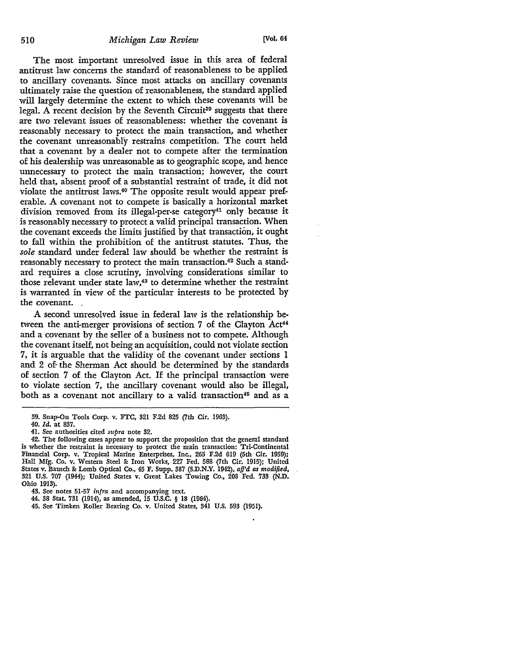The most important unresolved issue in this area of federal antitrust law concerns the standard of reasonableness to be applied to ancillary covenants. Since most attacks on ancillary covenants ultimately raise the question of reasonableness, the standard applied will largely determine the extent to which these covenants will be legal. A recent decision by the Seventh Circuit<sup>39</sup> suggests that there are two relevant issues of reasonableness: whether the covenant is reasonably necessary to protect the main transaction, and whether the covenant unreasonably restrains competition. The court held that a covenant by a dealer not to compete after the termination of his dealership was unreasonable as to geographic scope, and hence unnecessary to protect the main transaction; however, the court held that, absent proof of a substantial restraint of trade, it did not violate the antitrust laws.<sup>40</sup> The opposite result would appear preferable. A covenant not to compete is basically a horizontal market division removed from its illegal-per-se category<sup>41</sup> only because it is reasonably necessary to protect a valid principal transaction. When the covenant exceeds the limits justified by that transaction, it ought to fall within the prohibition of the antitrust statutes. Thus, the *sole* standard under federal law should be whether the restraint is reasonably necessary to protect the main transaction.<sup>42</sup> Such a standard requires a close scrutiny, involving considerations similar to those relevant under state law,<sup>43</sup> to determine whether the restraint is warranted in view of the particular interests to be protected by the covenant.

A second unresolved issue in federal law is the relationship between the anti-merger provisions of section 7 of the Clayton Act<sup>44</sup> and a covenant by the seller of a business not to compete. Although the covenant itself, not being an acquisition, could not violate section 7, it is arguable that the validity of the covenant under sections 1 and 2 of- the Sherman Act should be determined by the standards of section 7 of the Clayton Act. If the principal transaction were to violate section 7, the ancillary covenant would also be illegal, both as a covenant not ancillary to a valid transaction<sup>45</sup> and as a

<sup>39.</sup> Snap-On Tools Corp. v. FTC, 321 F.2d 825 (7th Cir. 1963).

<sup>40.</sup> *Id.* at 837.

<sup>41.</sup> See authorities cited *supra* note 32.

<sup>42.</sup> The following cases appear to support the proposition that the general standard is whether the restraint is necessary to protect the main transaction: Tri-Continental Financial Corp. v. Tropical Marine Enterprises, Inc., 265 F.2d 619 (5th Cir. 1959); Hall Mfg. Co. v. Western Steel & Iron Works, 227 Fed. 588 (7th Cir. 1915); United States v. Bausch & Lomb Optical Co., 45 F. Supp. 387 (S.D.N.Y. 1942), *aff'd as modified,*  321 U.S. 707 (1944): United States v. Great Lakes Towing Co., 208 Fed. 733 (N.D. Ohio 1913).

<sup>43.</sup> See notes 51-57 *infra* and accompanying text.

<sup>44. 38</sup> Stat. 731 (1914), as amended, 15 U.S.C. § 18 (1964).

<sup>45.</sup> See Timken Roller Bearing Co. v. United States, 341 U.S. 593 (1951).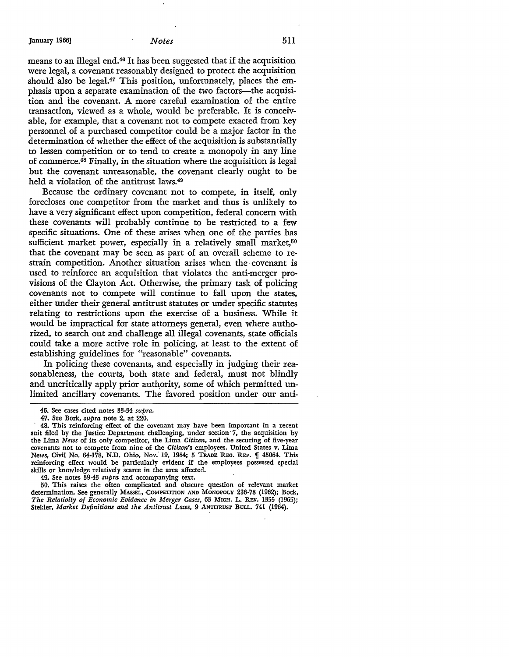means to an illegal end.46 It has been suggested that if the acquisition were legal, a covenant reasonably designed to protect the acquisition should also be legal.<sup>47</sup> This position, unfortunately, places the emphasis upon a separate examination of the two factors—the acquisition and the covenant. A more careful examination of the entire transaction, viewed as a whole, would be preferable. It is conceivable, for example, that a covenant not to compete exacted from key personnel of a purchased competitor could be a major factor in the determination of whether the effect of the acquisition is substantially to lessen competition or to tend to create a monopoly in any line of commerce.48 Finally, in the situation where the acguisition is legal but the covenant unreasonable, the covenant clearly ought to be held a violation of the antitrust laws.<sup>49</sup>

Because the ordinary covenant not to compete, in itself, only forecloses one competitor from the market and thus is unlikely to have a very significant effect upon competition, federal concern with these covenants will probably continue to be restricted to a few specific situations. One of these arises when one of the parties has sufficient market power, especially in a relatively small market,<sup>50</sup> that the covenant may be seen as part of an overall scheme to restrain competition. Another situation arises when the· covenant is used to reinforce an acquisition that violates the anti-merger provisions of the Clayton Act. Otherwise, the primary task of policing covenants not to compete will continue to fall upon the states, either under their general antitrust statutes or under specific statutes relating to restrictions upon the exercise of a business. While it would be impractical for state attorneys general, even where authorized, to search out and challenge all illegal covenants, state officials could take a more active role in policing, at least to the extent of establishing guidelines for "reasonable" covenants.

In policing these covenants, and especially in judging their reasonableness, the courts, both state and federal, must not blindly and uncritically apply prior authority, some of which permitted unlimited ancillary covenants. The favored position under our anti-

49. See notes 39-43 *supra* and accompanying text.

50. This raises the often complicated and obscure question of relevant market determination. See generally MASSEL, COMPETITION AND MONOPOLY 236-78 (1962); Bock, *The Relativity of Economic Evidence in Merger Cases,* 63 MICH. L. REv. 1355 (1965); Stekler, *Market Definitions and the Antitrust Laws*, 9 ANTITRUST BULL. 741 (1964).

<sup>46.</sup> See cases cited notes 33-34 *supra.* 

<sup>47.</sup> See Bork, *supra* note 2, at 220.

<sup>48.</sup> This reinforcing effect of the covenant may have been important in a recent suit filed by the Justice Department challenging, under section  $7$ , the acquisition by the Lima *News* of its only competitor, the Lima *Citizen,* and the securing of five-year covenants not to compete from nine of the *Citizen's* employees. United States v. Lima News, Civil No. 64-178, N.D. Ohio, Nov. 19, 1964; 5 TRADE REG. REP.  $\P$  45064. This reinforcing effect would be particularly evident if the employees possessed special skills or knowledge relatively scarce in the area affected.